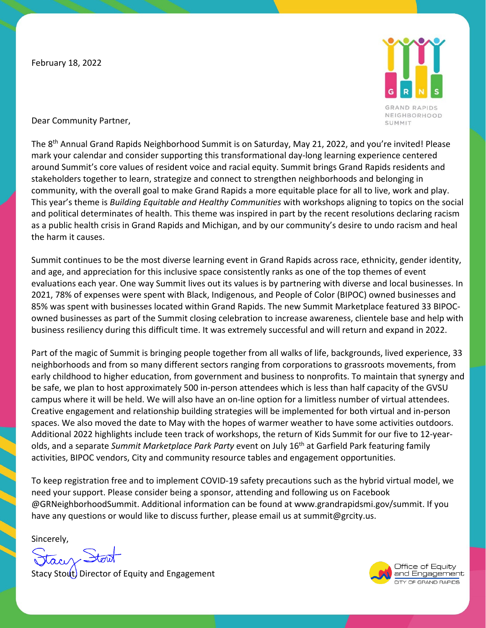February 18, 2022



Dear Community Partner,

The 8<sup>th</sup> Annual Grand Rapids Neighborhood Summit is on Saturday, May 21, 2022, and you're invited! Please mark your calendar and consider supporting this transformational day-long learning experience centered around Summit's core values of resident voice and racial equity. Summit brings Grand Rapids residents and stakeholders together to learn, strategize and connect to strengthen neighborhoods and belonging in community, with the overall goal to make Grand Rapids a more equitable place for all to live, work and play. This year's theme is *Building Equitable and Healthy Communities* with workshops aligning to topics on the social and political determinates of health. This theme was inspired in part by the recent resolutions declaring racism as a public health crisis in Grand Rapids and Michigan, and by our community's desire to undo racism and heal the harm it causes.

Summit continues to be the most diverse learning event in Grand Rapids across race, ethnicity, gender identity, and age, and appreciation for this inclusive space consistently ranks as one of the top themes of event evaluations each year. One way Summit lives out its values is by partnering with diverse and local businesses. In 2021, 78% of expenses were spent with Black, Indigenous, and People of Color (BIPOC) owned businesses and 85% was spent with businesses located within Grand Rapids. The new Summit Marketplace featured 33 BIPOCowned businesses as part of the Summit closing celebration to increase awareness, clientele base and help with business resiliency during this difficult time. It was extremely successful and will return and expand in 2022.

Part of the magic of Summit is bringing people together from all walks of life, backgrounds, lived experience, 33 neighborhoods and from so many different sectors ranging from corporations to grassroots movements, from early childhood to higher education, from government and business to nonprofits. To maintain that synergy and be safe, we plan to host approximately 500 in-person attendees which is less than half capacity of the GVSU campus where it will be held. We will also have an on-line option for a limitless number of virtual attendees. Creative engagement and relationship building strategies will be implemented for both virtual and in-person spaces. We also moved the date to May with the hopes of warmer weather to have some activities outdoors. Additional 2022 highlights include teen track of workshops, the return of Kids Summit for our five to 12-yearolds, and a separate *Summit Marketplace Park Party* event on July 16th at Garfield Park featuring family activities, BIPOC vendors, City and community resource tables and engagement opportunities.

To keep registration free and to implement COVID-19 safety precautions such as the hybrid virtual model, we need your support. Please consider being a sponsor, attending and following us on Facebook @GRNeighborhoodSummit. Additional information can be found at www.grandrapidsmi.gov/summit. If you have any questions or would like to discuss further, please email us at summit@grcity.us.

Sincerely,

acy Stori

Stacy Stout) Director of Equity and Engagement